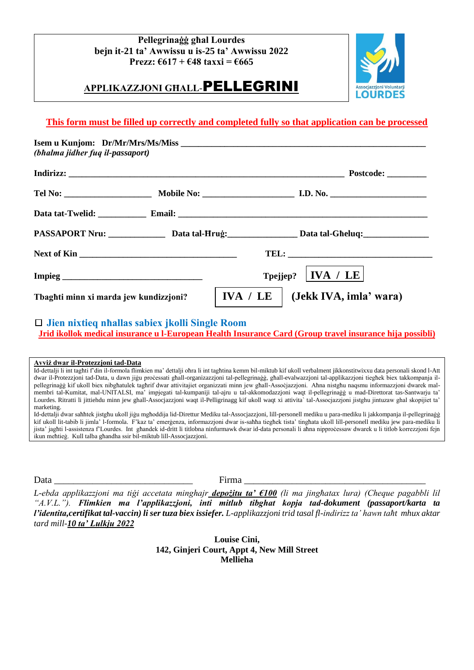## **Pellegrinaġġ għal Lourdes bejn it-21 ta' Awwissu u is-25 ta' Awwissu 2022 Prezz: €617 + €48 taxxi = €665**



# **APPLIKAZZJONI GĦALL**-PELLEGRINI

### **This form must be filled up correctly and completed fully so that application can be processed**

| (bhalma jidher fuq il-passaport)       |  |          |                                                                                                      |  |
|----------------------------------------|--|----------|------------------------------------------------------------------------------------------------------|--|
|                                        |  |          |                                                                                                      |  |
|                                        |  |          |                                                                                                      |  |
|                                        |  |          |                                                                                                      |  |
|                                        |  |          | PASSAPORT Nru: __________________ Data tal-Hrug:_____________________Data tal-Gheluq:_______________ |  |
|                                        |  |          |                                                                                                      |  |
|                                        |  | Tpejjep? | $ $ IVA / LE $ $                                                                                     |  |
| Tbaghti minn xi marda jew kundizzjoni? |  |          | $IVA / LE$   (Jekk IVA, imla' wara)                                                                  |  |

#### **Jien nixtieq nħallas sabiex jkolli Single Room Jrid ikollok medical insurance u l-European Health Insurance Card (Group travel insurance hija possibli)**

#### **Avviż dwar il-Protezzjoni tad-Data**

Id-dettalji li int tagħti f'din il-formola flimkien ma' dettalji oħra li int tagħtina kemm bil-miktub kif ukoll verbalment jikkonstitwixxu data personali skond l-Att dwar il-Protezzjoni tad-Data, u dawn jiġu proċessati għall-organizazzjoni tal-pellegrinaġġ, għall-evalwazzjoni tal-applikazzjoni tiegħek biex takkompanja ilpellegrinaġġ kif ukoll biex nibgħatulek tagħrif dwar attivitajiet organizzati minn jew għall-Assoċjazzjoni. Aħna nistgħu naqsmu informazzjoni dwarek malmembri tal-Kumitat, mal-UNITALSI, ma' impjegati tal-kumpaniji tal-ajru u tal-akkomodazzjoni waqt il-pellegrinaġġ u mad-Direttorat tas-Santwarju ta' Lourdes. Ritratti li jittiehdu minn jew ghall-Assocjazzjoni waqt il-Pelligrinagg kif ukoll waqt xi attivita` tal-Assocjazzjoni jistghu jintuzaw ghal skopijiet ta' marketing.

Id-dettalji dwar saħħtek jistgħu ukoll jiġu mgħoddija lid-Direttur Mediku tal-Assocjazzjoni, lill-personell mediku u para-mediku li jakkompanja il-pellegrinaġġ kif ukoll lit-tabib li jimla' l-formola. F'kaz ta' emerġenza, informazzjoni dwar is-saħħa tiegħek tista' tingħata ukoll lill-personell mediku jew para-mediku li jista' jagħti l-assistenza f'Lourdes. Int għandek id-dritt li titlobna ninfurmawk dwar id-data personali li aħna nipproċessaw dwarek u li titlob korrezzjoni fejn ikun meħtieġ. Kull talba għandha ssir bil-miktub lill-Assocjazzjoni.

Data \_\_\_\_\_\_\_\_\_\_\_\_\_\_\_\_\_\_\_\_\_\_\_\_\_\_\_\_\_ Firma \_\_\_\_\_\_\_\_\_\_\_\_\_\_\_\_\_\_\_\_\_\_\_\_\_\_\_\_\_\_\_\_\_\_\_\_\_\_

*L-ebda applikazzjoni ma tiġi accetata minghajr depożitu ta' €100 (li ma jingħatax lura) (Cheque pagabbli lil "A.V.L."). Flimkien ma l'applikazzjoni, inti mitlub tibghat kopja tad-dokument (passaport/karta ta l'identita,certifikat tal-vaccin) li ser tuza biex issiefer. L-applikazzjoni trid tasal fl-indirizz ta' hawn taħt mhux aktar tard mill-10 ta' Lulkju 2022*

> **Louise Cini, 142, Ginjeri Court, Appt 4, New Mill Street Mellieha**